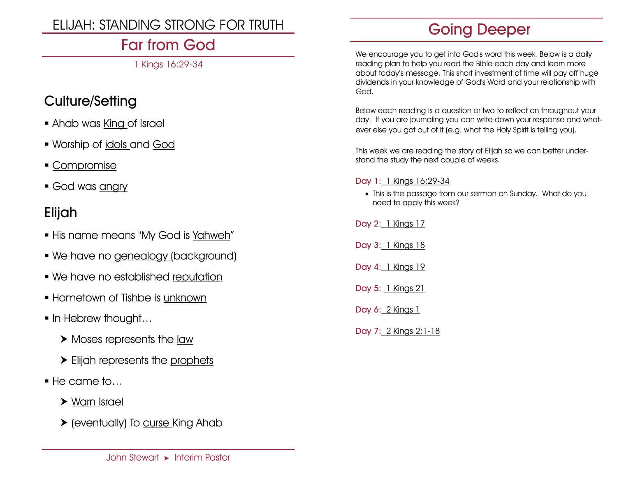# ELIJAH: STANDING STRONG FOR TRUTH

# Far from God

1 Kings 16:29-34

### Culture/Setting

- Ahab was King of Israel
- Worship of idols and God
- Compromise
- God was angry

### Elijah

- **.** His name means "My God is Yahweh"
- We have no genealogy (background)
- We have no established reputation
- **.** Hometown of Tishbe is unknown
- **In Hebrew thought...** 
	- ▶ Moses represents the law
	- Elijah represents the prophets
- $\blacksquare$  He came to...
	- Warn Israel
	- (eventually) To curse King Ahab

# Going Deeper

We encourage you to get into God's word this week. Below is a daily reading plan to help you read the Bible each day and learn more about today's message. This short investment of time will pay off huge dividends in your knowledge of God's Word and your relationship with God.

Below each reading is a question or two to reflect on throughout your day. If you are journaling you can write down your response and whatever else you got out of it (e.g. what the Holy Spirit is telling you).

This week we are reading the story of Elijah so we can better understand the study the next couple of weeks.

#### Day 1: 1 Kings 16:29-34

• This is the passage from our sermon on Sunday. What do you need to apply this week?

Day 2: 1 Kings 17

Day 3: 1 Kings 18

- Day 4: 1 Kings 19
- Day 5: 1 Kings 21
- Day 6: 2 Kings 1

Day 7: 2 Kings 2:1-18